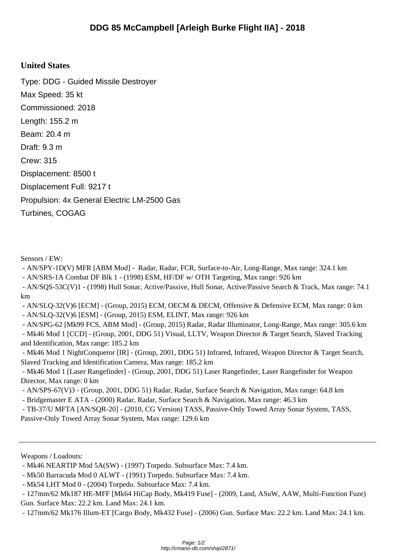## **United States**

Type: DDG - Guided Missile Destroyer Max Speed: 35 kt Commissioned: 2018 Length: 155.2 m Beam: 20.4 m Draft: 9.3 m Crew: 315 Displacement: 8500 t Displacement Full: 9217 t Propulsion: 4x General Electric LM-2500 Gas Turbines, COGAG

Sensors / EW:

- AN/SPY-1D(V) MFR [ABM Mod] - Radar, Radar, FCR, Surface-to-Air, Long-Range, Max range: 324.1 km

- AN/SRS-1A Combat DF Blk 1 - (1998) ESM, HF/DF w/ OTH Targeting, Max range: 926 km

 - AN/SQS-53C(V)1 - (1998) Hull Sonar, Active/Passive, Hull Sonar, Active/Passive Search & Track, Max range: 74.1 km

 - AN/SLQ-32(V)6 [ECM] - (Group, 2015) ECM, OECM & DECM, Offensive & Defensive ECM, Max range: 0 km - AN/SLQ-32(V)6 [ESM] - (Group, 2015) ESM, ELINT, Max range: 926 km

 - AN/SPG-62 [Mk99 FCS, ABM Mod] - (Group, 2015) Radar, Radar Illuminator, Long-Range, Max range: 305.6 km - Mk46 Mod 1 [CCD] - (Group, 2001, DDG 51) Visual, LLTV, Weapon Director & Target Search, Slaved Tracking and Identification, Max range: 185.2 km

 - Mk46 Mod 1 NightConqueror [IR] - (Group, 2001, DDG 51) Infrared, Infrared, Weapon Director & Target Search, Slaved Tracking and Identification Camera, Max range: 185.2 km

 - Mk46 Mod 1 [Laser Rangefinder] - (Group, 2001, DDG 51) Laser Rangefinder, Laser Rangefinder for Weapon Director, Max range: 0 km

- AN/SPS-67(V)3 - (Group, 2001, DDG 51) Radar, Radar, Surface Search & Navigation, Max range: 64.8 km

- Bridgemaster E ATA - (2000) Radar, Radar, Surface Search & Navigation, Max range: 46.3 km

 - TB-37/U MFTA [AN/SQR-20] - (2010, CG Version) TASS, Passive-Only Towed Array Sonar System, TASS, Passive-Only Towed Array Sonar System, Max range: 129.6 km

Weapons / Loadouts:

- Mk46 NEARTIP Mod 5A(SW) - (1997) Torpedo. Subsurface Max: 7.4 km.

- Mk50 Barracuda Mod 0 ALWT - (1991) Torpedo. Subsurface Max: 7.4 km.

- Mk54 LHT Mod 0 - (2004) Torpedo. Subsurface Max: 7.4 km.

 - 127mm/62 Mk187 HE-MFF [Mk64 HiCap Body, Mk419 Fuse] - (2009, Land, ASuW, AAW, Multi-Function Fuze) Gun. Surface Max: 22.2 km. Land Max: 24.1 km.

- 127mm/62 Mk176 Illum-ET [Cargo Body, Mk432 Fuse] - (2006) Gun. Surface Max: 22.2 km. Land Max: 24.1 km.